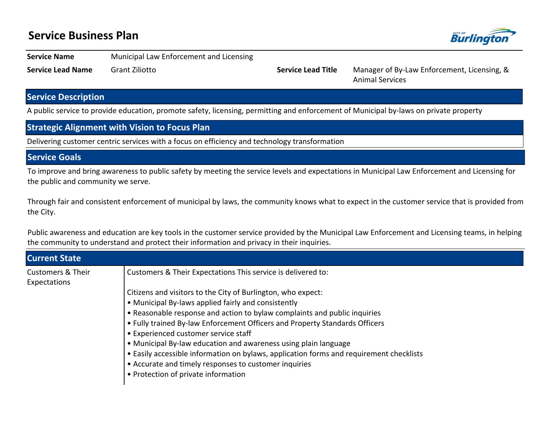## **Service Business Plan**



**Service Name** Municipal Law Enforcement and Licensing

**Service Lead Name** Grant Ziliotto **Service Lead Title** Manager of By-Law Enforcement, Licensing, & Animal Services

## **Service Description**

A public service to provide education, promote safety, licensing, permitting and enforcement of Municipal by-laws on private property

### **Strategic Alignment with Vision to Focus Plan**

Delivering customer centric services with a focus on efficiency and technology transformation

## **Service Goals**

To improve and bring awareness to public safety by meeting the service levels and expectations in Municipal Law Enforcement and Licensing for the public and community we serve.

Through fair and consistent enforcement of municipal by laws, the community knows what to expect in the customer service that is provided from the City.

Public awareness and education are key tools in the customer service provided by the Municipal Law Enforcement and Licensing teams, in helping the community to understand and protect their information and privacy in their inquiries.

| <b>Current State</b>                         |                                                                                         |
|----------------------------------------------|-----------------------------------------------------------------------------------------|
| <b>Customers &amp; Their</b><br>Expectations | Customers & Their Expectations This service is delivered to:                            |
|                                              | Citizens and visitors to the City of Burlington, who expect:                            |
|                                              | • Municipal By-laws applied fairly and consistently                                     |
|                                              | • Reasonable response and action to bylaw complaints and public inquiries               |
|                                              | . Fully trained By-law Enforcement Officers and Property Standards Officers             |
|                                              | • Experienced customer service staff                                                    |
|                                              | • Municipal By-law education and awareness using plain language                         |
|                                              | • Easily accessible information on bylaws, application forms and requirement checklists |
|                                              | • Accurate and timely responses to customer inquiries                                   |
|                                              | • Protection of private information                                                     |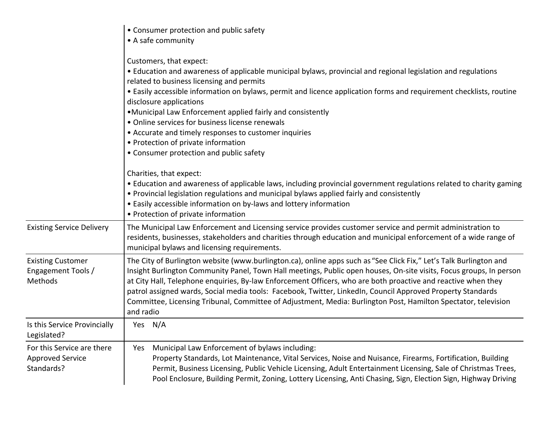|                                                                     | • Consumer protection and public safety                                                                                                                                                                                                                                                                                                                                                                                                                                                                                                                                                                                                                                                                                                                                                                                                             |
|---------------------------------------------------------------------|-----------------------------------------------------------------------------------------------------------------------------------------------------------------------------------------------------------------------------------------------------------------------------------------------------------------------------------------------------------------------------------------------------------------------------------------------------------------------------------------------------------------------------------------------------------------------------------------------------------------------------------------------------------------------------------------------------------------------------------------------------------------------------------------------------------------------------------------------------|
|                                                                     | • A safe community                                                                                                                                                                                                                                                                                                                                                                                                                                                                                                                                                                                                                                                                                                                                                                                                                                  |
|                                                                     | Customers, that expect:<br>• Education and awareness of applicable municipal bylaws, provincial and regional legislation and regulations<br>related to business licensing and permits<br>• Easily accessible information on bylaws, permit and licence application forms and requirement checklists, routine<br>disclosure applications<br>. Municipal Law Enforcement applied fairly and consistently<br>• Online services for business license renewals<br>• Accurate and timely responses to customer inquiries<br>• Protection of private information<br>• Consumer protection and public safety<br>Charities, that expect:<br>• Education and awareness of applicable laws, including provincial government regulations related to charity gaming<br>• Provincial legislation regulations and municipal bylaws applied fairly and consistently |
|                                                                     | • Easily accessible information on by-laws and lottery information<br>• Protection of private information                                                                                                                                                                                                                                                                                                                                                                                                                                                                                                                                                                                                                                                                                                                                           |
| <b>Existing Service Delivery</b>                                    | The Municipal Law Enforcement and Licensing service provides customer service and permit administration to<br>residents, businesses, stakeholders and charities through education and municipal enforcement of a wide range of<br>municipal bylaws and licensing requirements.                                                                                                                                                                                                                                                                                                                                                                                                                                                                                                                                                                      |
| <b>Existing Customer</b><br>Engagement Tools /<br>Methods           | The City of Burlington website (www.burlington.ca), online apps such as "See Click Fix," Let's Talk Burlington and<br>Insight Burlington Community Panel, Town Hall meetings, Public open houses, On-site visits, Focus groups, In person<br>at City Hall, Telephone enquiries, By-law Enforcement Officers, who are both proactive and reactive when they<br>patrol assigned wards, Social media tools: Facebook, Twitter, LinkedIn, Council Approved Property Standards<br>Committee, Licensing Tribunal, Committee of Adjustment, Media: Burlington Post, Hamilton Spectator, television<br>and radio                                                                                                                                                                                                                                            |
| Is this Service Provincially<br>Legislated?                         | Yes N/A                                                                                                                                                                                                                                                                                                                                                                                                                                                                                                                                                                                                                                                                                                                                                                                                                                             |
| For this Service are there<br><b>Approved Service</b><br>Standards? | Municipal Law Enforcement of bylaws including:<br>Yes<br>Property Standards, Lot Maintenance, Vital Services, Noise and Nuisance, Firearms, Fortification, Building<br>Permit, Business Licensing, Public Vehicle Licensing, Adult Entertainment Licensing, Sale of Christmas Trees,<br>Pool Enclosure, Building Permit, Zoning, Lottery Licensing, Anti Chasing, Sign, Election Sign, Highway Driving                                                                                                                                                                                                                                                                                                                                                                                                                                              |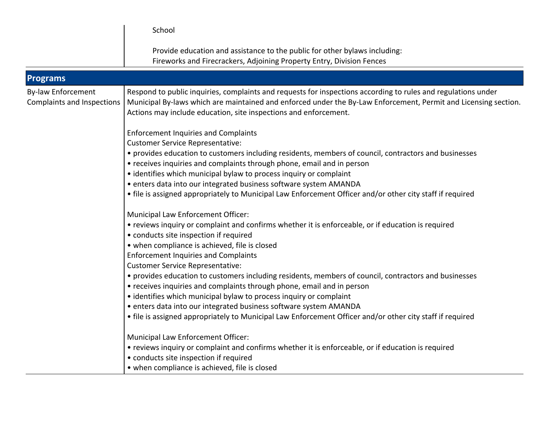|                                                                | School                                                                                                                                                                                                                                                                                                                                                                                                                                                                                                                                                                                                                                                                                                                                                                                                                                                                                                                                                                                                                                                                                                                                                                                                                                                                                                                                                                                                                              |
|----------------------------------------------------------------|-------------------------------------------------------------------------------------------------------------------------------------------------------------------------------------------------------------------------------------------------------------------------------------------------------------------------------------------------------------------------------------------------------------------------------------------------------------------------------------------------------------------------------------------------------------------------------------------------------------------------------------------------------------------------------------------------------------------------------------------------------------------------------------------------------------------------------------------------------------------------------------------------------------------------------------------------------------------------------------------------------------------------------------------------------------------------------------------------------------------------------------------------------------------------------------------------------------------------------------------------------------------------------------------------------------------------------------------------------------------------------------------------------------------------------------|
|                                                                | Provide education and assistance to the public for other bylaws including:<br>Fireworks and Firecrackers, Adjoining Property Entry, Division Fences                                                                                                                                                                                                                                                                                                                                                                                                                                                                                                                                                                                                                                                                                                                                                                                                                                                                                                                                                                                                                                                                                                                                                                                                                                                                                 |
| <b>Programs</b>                                                |                                                                                                                                                                                                                                                                                                                                                                                                                                                                                                                                                                                                                                                                                                                                                                                                                                                                                                                                                                                                                                                                                                                                                                                                                                                                                                                                                                                                                                     |
| <b>By-law Enforcement</b><br><b>Complaints and Inspections</b> | Respond to public inquiries, complaints and requests for inspections according to rules and regulations under<br>Municipal By-laws which are maintained and enforced under the By-Law Enforcement, Permit and Licensing section.<br>Actions may include education, site inspections and enforcement.<br><b>Enforcement Inquiries and Complaints</b><br><b>Customer Service Representative:</b><br>• provides education to customers including residents, members of council, contractors and businesses<br>• receives inquiries and complaints through phone, email and in person<br>• identifies which municipal bylaw to process inquiry or complaint<br>• enters data into our integrated business software system AMANDA<br>• file is assigned appropriately to Municipal Law Enforcement Officer and/or other city staff if required<br>Municipal Law Enforcement Officer:<br>• reviews inquiry or complaint and confirms whether it is enforceable, or if education is required<br>• conducts site inspection if required<br>• when compliance is achieved, file is closed<br><b>Enforcement Inquiries and Complaints</b><br><b>Customer Service Representative:</b><br>• provides education to customers including residents, members of council, contractors and businesses<br>• receives inquiries and complaints through phone, email and in person<br>• identifies which municipal bylaw to process inquiry or complaint |
|                                                                | • enters data into our integrated business software system AMANDA<br>• file is assigned appropriately to Municipal Law Enforcement Officer and/or other city staff if required                                                                                                                                                                                                                                                                                                                                                                                                                                                                                                                                                                                                                                                                                                                                                                                                                                                                                                                                                                                                                                                                                                                                                                                                                                                      |
|                                                                | Municipal Law Enforcement Officer:<br>• reviews inquiry or complaint and confirms whether it is enforceable, or if education is required<br>• conducts site inspection if required<br>• when compliance is achieved, file is closed                                                                                                                                                                                                                                                                                                                                                                                                                                                                                                                                                                                                                                                                                                                                                                                                                                                                                                                                                                                                                                                                                                                                                                                                 |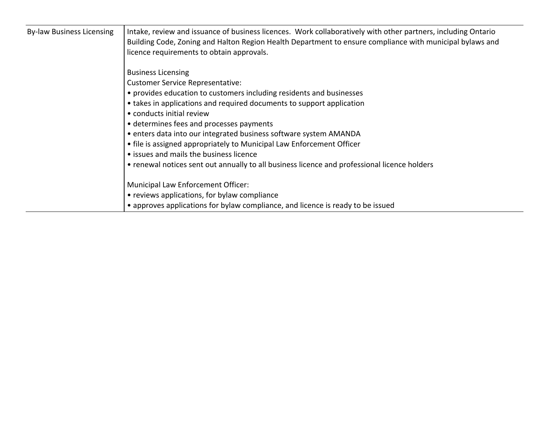| <b>By-law Business Licensing</b> | Intake, review and issuance of business licences. Work collaboratively with other partners, including Ontario<br>Building Code, Zoning and Halton Region Health Department to ensure compliance with municipal bylaws and<br>licence requirements to obtain approvals. |  |  |  |  |
|----------------------------------|------------------------------------------------------------------------------------------------------------------------------------------------------------------------------------------------------------------------------------------------------------------------|--|--|--|--|
|                                  | <b>Business Licensing</b>                                                                                                                                                                                                                                              |  |  |  |  |
|                                  | <b>Customer Service Representative:</b>                                                                                                                                                                                                                                |  |  |  |  |
|                                  | • provides education to customers including residents and businesses                                                                                                                                                                                                   |  |  |  |  |
|                                  | • takes in applications and required documents to support application                                                                                                                                                                                                  |  |  |  |  |
|                                  | • conducts initial review                                                                                                                                                                                                                                              |  |  |  |  |
|                                  | • determines fees and processes payments                                                                                                                                                                                                                               |  |  |  |  |
|                                  | • enters data into our integrated business software system AMANDA                                                                                                                                                                                                      |  |  |  |  |
|                                  | • file is assigned appropriately to Municipal Law Enforcement Officer                                                                                                                                                                                                  |  |  |  |  |
|                                  | • issues and mails the business licence                                                                                                                                                                                                                                |  |  |  |  |
|                                  | • renewal notices sent out annually to all business licence and professional licence holders                                                                                                                                                                           |  |  |  |  |
|                                  | Municipal Law Enforcement Officer:                                                                                                                                                                                                                                     |  |  |  |  |
|                                  | • reviews applications, for bylaw compliance                                                                                                                                                                                                                           |  |  |  |  |
|                                  | • approves applications for bylaw compliance, and licence is ready to be issued                                                                                                                                                                                        |  |  |  |  |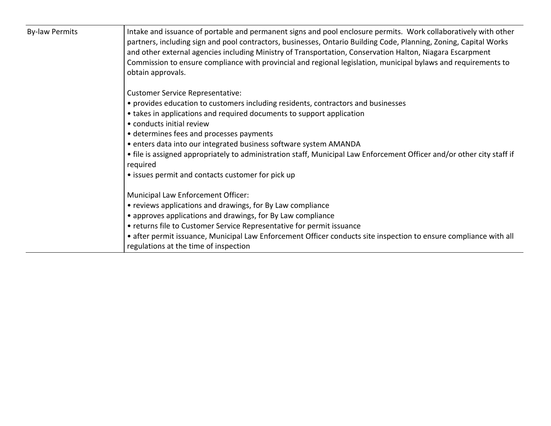| <b>By-law Permits</b> | Intake and issuance of portable and permanent signs and pool enclosure permits. Work collaboratively with other<br>partners, including sign and pool contractors, businesses, Ontario Building Code, Planning, Zoning, Capital Works<br>and other external agencies including Ministry of Transportation, Conservation Halton, Niagara Escarpment<br>Commission to ensure compliance with provincial and regional legislation, municipal bylaws and requirements to<br>obtain approvals. |
|-----------------------|------------------------------------------------------------------------------------------------------------------------------------------------------------------------------------------------------------------------------------------------------------------------------------------------------------------------------------------------------------------------------------------------------------------------------------------------------------------------------------------|
|                       | <b>Customer Service Representative:</b>                                                                                                                                                                                                                                                                                                                                                                                                                                                  |
|                       | • provides education to customers including residents, contractors and businesses                                                                                                                                                                                                                                                                                                                                                                                                        |
|                       | • takes in applications and required documents to support application                                                                                                                                                                                                                                                                                                                                                                                                                    |
|                       | • conducts initial review                                                                                                                                                                                                                                                                                                                                                                                                                                                                |
|                       | • determines fees and processes payments                                                                                                                                                                                                                                                                                                                                                                                                                                                 |
|                       | • enters data into our integrated business software system AMANDA                                                                                                                                                                                                                                                                                                                                                                                                                        |
|                       | • file is assigned appropriately to administration staff, Municipal Law Enforcement Officer and/or other city staff if<br>required                                                                                                                                                                                                                                                                                                                                                       |
|                       | • issues permit and contacts customer for pick up                                                                                                                                                                                                                                                                                                                                                                                                                                        |
|                       | Municipal Law Enforcement Officer:                                                                                                                                                                                                                                                                                                                                                                                                                                                       |
|                       | • reviews applications and drawings, for By Law compliance                                                                                                                                                                                                                                                                                                                                                                                                                               |
|                       | • approves applications and drawings, for By Law compliance                                                                                                                                                                                                                                                                                                                                                                                                                              |
|                       | • returns file to Customer Service Representative for permit issuance                                                                                                                                                                                                                                                                                                                                                                                                                    |
|                       | • after permit issuance, Municipal Law Enforcement Officer conducts site inspection to ensure compliance with all<br>regulations at the time of inspection                                                                                                                                                                                                                                                                                                                               |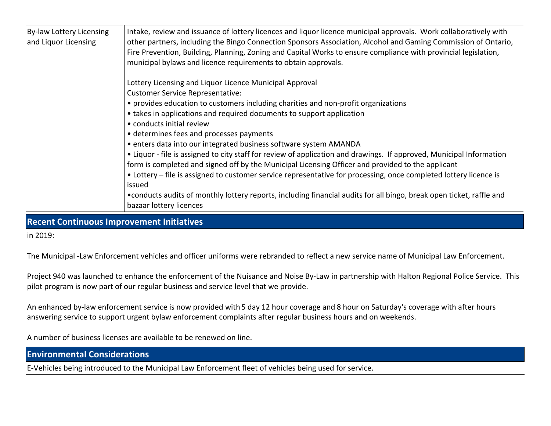| By-law Lottery Licensing<br>and Liquor Licensing | Intake, review and issuance of lottery licences and liquor licence municipal approvals. Work collaboratively with<br>other partners, including the Bingo Connection Sponsors Association, Alcohol and Gaming Commission of Ontario,<br>Fire Prevention, Building, Planning, Zoning and Capital Works to ensure compliance with provincial legislation,<br>municipal bylaws and licence requirements to obtain approvals. |
|--------------------------------------------------|--------------------------------------------------------------------------------------------------------------------------------------------------------------------------------------------------------------------------------------------------------------------------------------------------------------------------------------------------------------------------------------------------------------------------|
|                                                  | Lottery Licensing and Liquor Licence Municipal Approval                                                                                                                                                                                                                                                                                                                                                                  |
|                                                  | <b>Customer Service Representative:</b>                                                                                                                                                                                                                                                                                                                                                                                  |
|                                                  | • provides education to customers including charities and non-profit organizations                                                                                                                                                                                                                                                                                                                                       |
|                                                  | • takes in applications and required documents to support application                                                                                                                                                                                                                                                                                                                                                    |
|                                                  | • conducts initial review                                                                                                                                                                                                                                                                                                                                                                                                |
|                                                  | • determines fees and processes payments                                                                                                                                                                                                                                                                                                                                                                                 |
|                                                  | • enters data into our integrated business software system AMANDA                                                                                                                                                                                                                                                                                                                                                        |
|                                                  | • Liquor - file is assigned to city staff for review of application and drawings. If approved, Municipal Information                                                                                                                                                                                                                                                                                                     |
|                                                  | form is completed and signed off by the Municipal Licensing Officer and provided to the applicant                                                                                                                                                                                                                                                                                                                        |
|                                                  | • Lottery – file is assigned to customer service representative for processing, once completed lottery licence is                                                                                                                                                                                                                                                                                                        |
|                                                  | issued                                                                                                                                                                                                                                                                                                                                                                                                                   |
|                                                  | • conducts audits of monthly lottery reports, including financial audits for all bingo, break open ticket, raffle and                                                                                                                                                                                                                                                                                                    |
|                                                  | bazaar lottery licences                                                                                                                                                                                                                                                                                                                                                                                                  |

**Recent Continuous Improvement Initiatives**

in 2019:

The Municipal -Law Enforcement vehicles and officer uniforms were rebranded to reflect a new service name of Municipal Law Enforcement.

Project 940 was launched to enhance the enforcement of the Nuisance and Noise By-Law in partnership with Halton Regional Police Service. This pilot program is now part of our regular business and service level that we provide.

An enhanced by-law enforcement service is now provided with 5 day 12 hour coverage and 8 hour on Saturday's coverage with after hours answering service to support urgent bylaw enforcement complaints after regular business hours and on weekends.

A number of business licenses are available to be renewed on line.

**Environmental Considerations**

E-Vehicles being introduced to the Municipal Law Enforcement fleet of vehicles being used for service.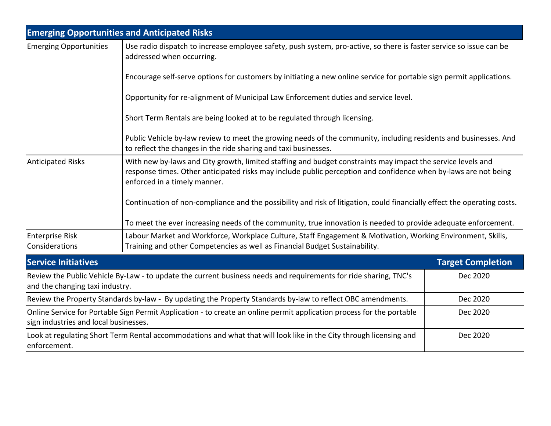|                                                                                                                                                                | <b>Emerging Opportunities and Anticipated Risks</b>                                                                                                                                                                                                            |                          |  |  |  |  |  |
|----------------------------------------------------------------------------------------------------------------------------------------------------------------|----------------------------------------------------------------------------------------------------------------------------------------------------------------------------------------------------------------------------------------------------------------|--------------------------|--|--|--|--|--|
| <b>Emerging Opportunities</b>                                                                                                                                  | Use radio dispatch to increase employee safety, push system, pro-active, so there is faster service so issue can be<br>addressed when occurring.                                                                                                               |                          |  |  |  |  |  |
|                                                                                                                                                                | Encourage self-serve options for customers by initiating a new online service for portable sign permit applications.                                                                                                                                           |                          |  |  |  |  |  |
|                                                                                                                                                                | Opportunity for re-alignment of Municipal Law Enforcement duties and service level.                                                                                                                                                                            |                          |  |  |  |  |  |
|                                                                                                                                                                | Short Term Rentals are being looked at to be regulated through licensing.                                                                                                                                                                                      |                          |  |  |  |  |  |
|                                                                                                                                                                | Public Vehicle by-law review to meet the growing needs of the community, including residents and businesses. And<br>to reflect the changes in the ride sharing and taxi businesses.                                                                            |                          |  |  |  |  |  |
| <b>Anticipated Risks</b>                                                                                                                                       | With new by-laws and City growth, limited staffing and budget constraints may impact the service levels and<br>response times. Other anticipated risks may include public perception and confidence when by-laws are not being<br>enforced in a timely manner. |                          |  |  |  |  |  |
|                                                                                                                                                                | Continuation of non-compliance and the possibility and risk of litigation, could financially effect the operating costs.                                                                                                                                       |                          |  |  |  |  |  |
|                                                                                                                                                                | To meet the ever increasing needs of the community, true innovation is needed to provide adequate enforcement.                                                                                                                                                 |                          |  |  |  |  |  |
| <b>Enterprise Risk</b><br>Considerations                                                                                                                       | Labour Market and Workforce, Workplace Culture, Staff Engagement & Motivation, Working Environment, Skills,<br>Training and other Competencies as well as Financial Budget Sustainability.                                                                     |                          |  |  |  |  |  |
| <b>Service Initiatives</b>                                                                                                                                     |                                                                                                                                                                                                                                                                | <b>Target Completion</b> |  |  |  |  |  |
| and the changing taxi industry.                                                                                                                                | Review the Public Vehicle By-Law - to update the current business needs and requirements for ride sharing, TNC's                                                                                                                                               | Dec 2020                 |  |  |  |  |  |
| Review the Property Standards by-law - By updating the Property Standards by-law to reflect OBC amendments.                                                    |                                                                                                                                                                                                                                                                | Dec 2020                 |  |  |  |  |  |
| Online Service for Portable Sign Permit Application - to create an online permit application process for the portable<br>sign industries and local businesses. |                                                                                                                                                                                                                                                                | Dec 2020                 |  |  |  |  |  |
| enforcement.                                                                                                                                                   | Look at regulating Short Term Rental accommodations and what that will look like in the City through licensing and                                                                                                                                             | Dec 2020                 |  |  |  |  |  |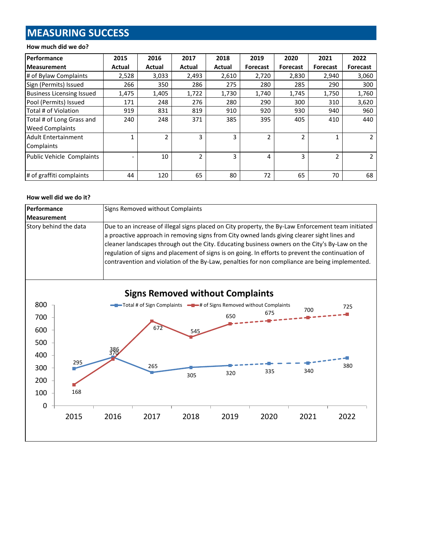# **MEASURING SUCCESS**

### **How much did we do?**

| <b>Performance</b>               | 2015   | 2016   | 2017           | 2018   | 2019            | 2020           | 2021            | 2022            |
|----------------------------------|--------|--------|----------------|--------|-----------------|----------------|-----------------|-----------------|
| <b>Measurement</b>               | Actual | Actual | Actual         | Actual | <b>Forecast</b> | Forecast       | <b>Forecast</b> | <b>Forecast</b> |
| # of Bylaw Complaints            | 2,528  | 3,033  | 2,493          | 2,610  | 2,720           | 2,830          | 2,940           | 3,060           |
| Sign (Permits) Issued            | 266    | 350    | 286            | 275    | 280             | 285            | 290             | 300             |
| <b>Business Licensing Issued</b> | 1,475  | 1,405  | 1,722          | 1,730  | 1,740           | 1,745          | 1,750           | 1,760           |
| Pool (Permits) Issued            | 171    | 248    | 276            | 280    | 290             | 300            | 310             | 3,620           |
| Total # of Violation             | 919    | 831    | 819            | 910    | 920             | 930            | 940             | 960             |
| Total # of Long Grass and        | 240    | 248    | 371            | 385    | 395             | 405            | 410             | 440             |
| <b>Weed Complaints</b>           |        |        |                |        |                 |                |                 |                 |
| <b>Adult Entertainment</b>       | 1      | 2      | 3              | 3      | $\overline{2}$  | $\overline{2}$ | 1               |                 |
| Complaints                       |        |        |                |        |                 |                |                 |                 |
| Public Vehicle Complaints        |        | 10     | $\mathfrak{p}$ | 3      | 4               | 3              | $\overline{2}$  |                 |
|                                  |        |        |                |        |                 |                |                 |                 |
| # of graffiti complaints         | 44     | 120    | 65             | 80     | 72              | 65             | 70              | 68              |

#### **How well did we do it?**

| Performance           | Signs Removed without Complaints                                                                                                                                                                                                                                                                                                                                                                                                                                                                           |
|-----------------------|------------------------------------------------------------------------------------------------------------------------------------------------------------------------------------------------------------------------------------------------------------------------------------------------------------------------------------------------------------------------------------------------------------------------------------------------------------------------------------------------------------|
| Measurement           |                                                                                                                                                                                                                                                                                                                                                                                                                                                                                                            |
| Story behind the data | Due to an increase of illegal signs placed on City property, the By-Law Enforcement team initiated<br>a proactive approach in removing signs from City owned lands giving clearer sight lines and<br>cleaner landscapes through out the City. Educating business owners on the City's By-Law on the<br>regulation of signs and placement of signs is on going. In efforts to prevent the continuation of<br>contravention and violation of the By-Law, penalties for non compliance are being implemented. |